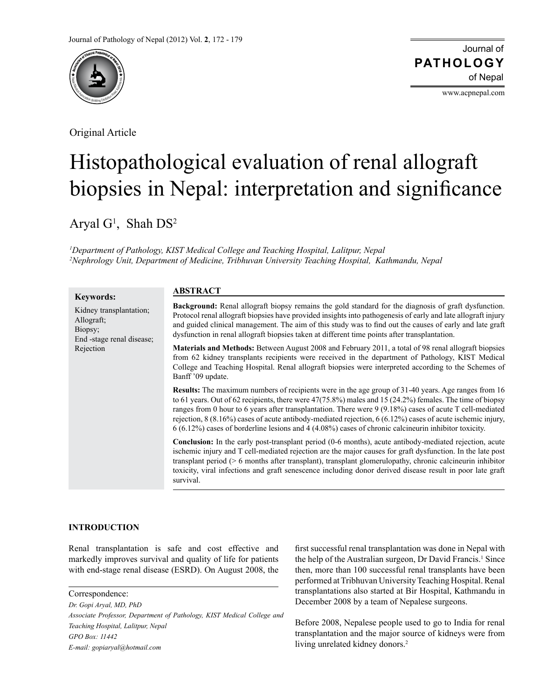

Original Article

Journal of of Nepal **PATHOLOGY**

www.acpnepal.com

# Histopathological evaluation of renal allograft biopsies in Nepal: interpretation and significance

Aryal  $G<sup>1</sup>$ , Shah  $DS<sup>2</sup>$ 

*1 Department of Pathology, KIST Medical College and Teaching Hospital, Lalitpur, Nepal 2 Nephrology Unit, Department of Medicine, Tribhuvan University Teaching Hospital, Kathmandu, Nepal*

| <b>Keywords:</b>                                                                           | <b>ABSTRACT</b>                                                                                                                                                                                                                                                                                                                                                                                                                                                                                                                                                   |  |  |  |
|--------------------------------------------------------------------------------------------|-------------------------------------------------------------------------------------------------------------------------------------------------------------------------------------------------------------------------------------------------------------------------------------------------------------------------------------------------------------------------------------------------------------------------------------------------------------------------------------------------------------------------------------------------------------------|--|--|--|
| Kidney transplantation;<br>Allograft;<br>Biopsy;<br>End -stage renal disease;<br>Rejection | <b>Background:</b> Renal allograft biopsy remains the gold standard for the diagnosis of graft dysfunction.<br>Protocol renal allograft biopsies have provided insights into pathogenesis of early and late allograft injury<br>and guided clinical management. The aim of this study was to find out the causes of early and late graft<br>dysfunction in renal allograft biopsies taken at different time points after transplantation.                                                                                                                         |  |  |  |
|                                                                                            | <b>Materials and Methods:</b> Between August 2008 and February 2011, a total of 98 renal allograft biopsies<br>from 62 kidney transplants recipients were received in the department of Pathology, KIST Medical<br>College and Teaching Hospital. Renal allograft biopsies were interpreted according to the Schemes of<br>Banff '09 update.                                                                                                                                                                                                                      |  |  |  |
|                                                                                            | <b>Results:</b> The maximum numbers of recipients were in the age group of 31-40 years. Age ranges from 16<br>to 61 years. Out of 62 recipients, there were $47(75.8%)$ males and 15 (24.2%) females. The time of biopsy<br>ranges from 0 hour to 6 years after transplantation. There were $9(9.18\%)$ cases of acute T cell-mediated<br>rejection, $8(8.16\%)$ cases of acute antibody-mediated rejection, $6(6.12\%)$ cases of acute ischemic injury,<br>$6(6.12%)$ cases of borderline lesions and 4 (4.08%) cases of chronic calcineurin inhibitor toxicity. |  |  |  |
|                                                                                            | <b>Conclusion:</b> In the early post-transplant period (0-6 months), acute antibody-mediated rejection, acute<br>ischemic injury and T cell-mediated rejection are the major causes for graft dysfunction. In the late post<br>transplant period ( $> 6$ months after transplant), transplant glomerulopathy, chronic calcineurin inhibitor<br>toxicity, viral infections and graft senescence including donor derived disease result in poor late graft<br>survival.                                                                                             |  |  |  |

# **INTRODUCTION**

Renal transplantation is safe and cost effective and markedly improves survival and quality of life for patients with end-stage renal disease (ESRD). On August 2008, the

*Dr. Gopi Aryal, MD, PhD Associate Professor, Department of Pathology, KIST Medical College and Teaching Hospital, Lalitpur, Nepal GPO Box: 11442 E-mail: gopiaryal@hotmail.com*

first successful renal transplantation was done in Nepal with the help of the Australian surgeon, Dr David Francis.<sup>1</sup> Since then, more than 100 successful renal transplants have been performed at Tribhuvan University Teaching Hospital. Renal transplantations also started at Bir Hospital, Kathmandu in December 2008 by a team of Nepalese surgeons.

Before 2008, Nepalese people used to go to India for renal transplantation and the major source of kidneys were from living unrelated kidney donors.<sup>2</sup>

Correspondence: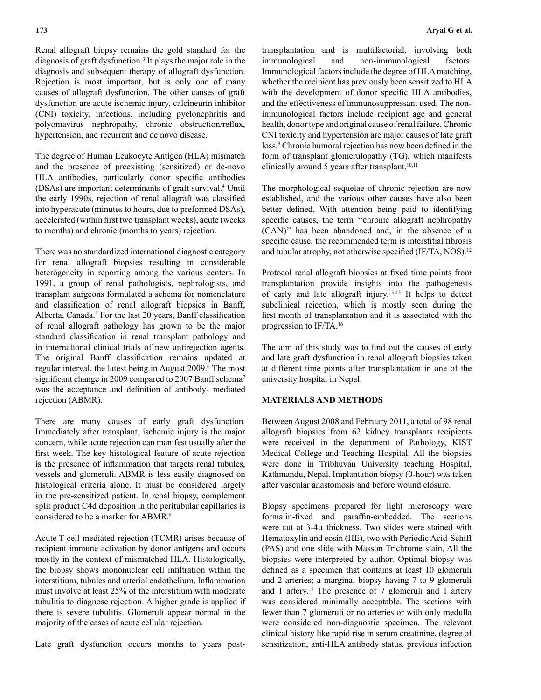Renal allograft biopsy remains the gold standard for the diagnosis of graft dysfunction.<sup>3</sup> It plays the major role in the diagnosis and subsequent therapy of allograft dysfunction. Rejection is most important, but is only one of many causes of allograft dysfunction. The other causes of graft dysfunction are acute ischemic injury, calcineurin inhibitor (CNI) toxicity, infections, including pyelonephritis and polyomavirus nephropathy, chronic obstruction/reflux, hypertension, and recurrent and de novo disease.

The degree of Human Leukocyte Antigen (HLA) mismatch and the presence of preexisting (sensitized) or de-novo HLA antibodies, particularly donor specific antibodies (DSAs) are important determinants of graft survival.4 Until the early 1990s, rejection of renal allograft was classified into hyperacute (minutes to hours, due to preformed DSAs), accelerated (within first two transplant weeks), acute (weeks to months) and chronic (months to years) rejection.

There was no standardized international diagnostic category for renal allograft biopsies resulting in considerable heterogeneity in reporting among the various centers. In 1991, a group of renal pathologists, nephrologists, and transplant surgeons formulated a schema for nomenclature and classification of renal allograft biopsies in Banff, Alberta, Canada.<sup>5</sup> For the last 20 years, Banff classification of renal allograft pathology has grown to be the major standard classification in renal transplant pathology and in international clinical trials of new antirejection agents. The original Banff classification remains updated at regular interval, the latest being in August 2009.<sup>6</sup> The most significant change in 2009 compared to 2007 Banff schema<sup>7</sup> was the acceptance and definition of antibody- mediated rejection (ABMR).

There are many causes of early graft dysfunction. Immediately after transplant, ischemic injury is the major concern, while acute rejection can manifest usually after the first week. The key histological feature of acute rejection is the presence of inflammation that targets renal tubules, vessels and glomeruli. ABMR is less easily diagnosed on histological criteria alone. It must be considered largely in the pre-sensitized patient. In renal biopsy, complement split product C4d deposition in the peritubular capillaries is considered to be a marker for ABMR.<sup>8</sup>

Acute T cell-mediated rejection (TCMR) arises because of recipient immune activation by donor antigens and occurs mostly in the context of mismatched HLA. Histologically, the biopsy shows mononuclear cell infiltration within the interstitium, tubules and arterial endothelium. Inflammation must involve at least 25% of the interstitium with moderate tubulitis to diagnose rejection. A higher grade is applied if there is severe tubulitis. Glomeruli appear normal in the majority of the cases of acute cellular rejection.

Late graft dysfunction occurs months to years post-

transplantation and is multifactorial, involving both immunological and non-immunological factors. Immunological factors include the degree of HLA matching, whether the recipient has previously been sensitized to HLA with the development of donor specific HLA antibodies, and the effectiveness of immunosuppressant used. The nonimmunological factors include recipient age and general health, donor type and original cause of renal failure. Chronic CNI toxicity and hypertension are major causes of late graft loss.<sup>9</sup> Chronic humoral rejection has now been defined in the form of transplant glomerulopathy (TG), which manifests clinically around 5 years after transplant. $10,11$ 

The morphological sequelae of chronic rejection are now established, and the various other causes have also been better defined. With attention being paid to identifying specific causes, the term ''chronic allograft nephropathy (CAN)'' has been abandoned and, in the absence of a specific cause, the recommended term is interstitial fibrosis and tubular atrophy, not otherwise specified (IF/TA, NOS).<sup>12</sup>

Protocol renal allograft biopsies at fixed time points from transplantation provide insights into the pathogenesis of early and late allograft injury.13-15 It helps to detect subclinical rejection, which is mostly seen during the first month of transplantation and it is associated with the progression to IF/TA.16

The aim of this study was to find out the causes of early and late graft dysfunction in renal allograft biopsies taken at different time points after transplantation in one of the university hospital in Nepal.

### **MATERIALS AND METHODS**

Between August 2008 and February 2011, a total of 98 renal allograft biopsies from 62 kidney transplants recipients were received in the department of Pathology, KIST Medical College and Teaching Hospital. All the biopsies were done in Tribhuvan University teaching Hospital, Kathmandu, Nepal. Implantation biopsy (0-hour) was taken after vascular anastomosis and before wound closure.

Biopsy specimens prepared for light microscopy were formalin-fixed and paraffin-embedded. The sections were cut at 3-4µ thickness. Two slides were stained with Hematoxylin and eosin (HE), two with Periodic Acid-Schiff (PAS) and one slide with Masson Trichrome stain. All the biopsies were interpreted by author. Optimal biopsy was defined as a specimen that contains at least 10 glomeruli and 2 arteries; a marginal biopsy having 7 to 9 glomeruli and 1 artery.17 The presence of 7 glomeruli and 1 artery was considered minimally acceptable. The sections with fewer than 7 glomeruli or no arteries or with only medulla were considered non-diagnostic specimen. The relevant clinical history like rapid rise in serum creatinine, degree of sensitization, anti-HLA antibody status, previous infection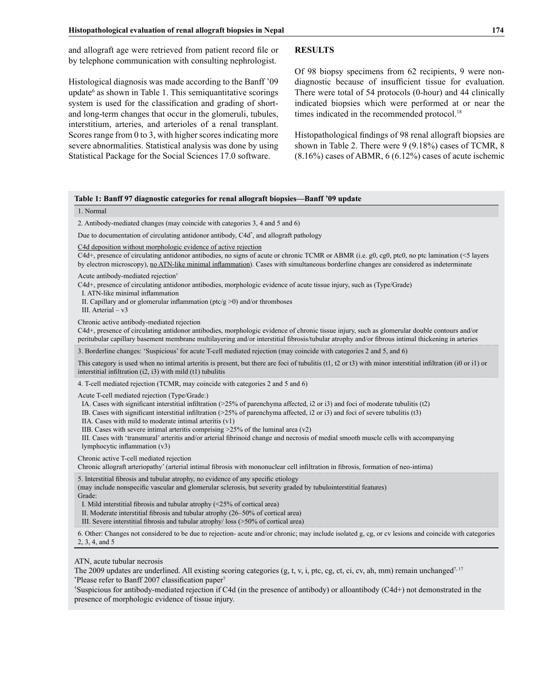and allograft age were retrieved from patient record file or by telephone communication with consulting nephrologist.

Histological diagnosis was made according to the Banff '09 update<sup>6</sup> as shown in Table 1. This semiquantitative scorings system is used for the classification and grading of shortand long-term changes that occur in the glomeruli, tubules, interstitium, arteries, and arterioles of a renal transplant. Scores range from 0 to 3, with higher scores indicating more severe abnormalities. Statistical analysis was done by using Statistical Package for the Social Sciences 17.0 software.

## **RESULTS**

Of 98 biopsy specimens from 62 recipients, 9 were nondiagnostic because of insufficient tissue for evaluation. There were total of 54 protocols (0-hour) and 44 clinically indicated biopsies which were performed at or near the times indicated in the recommended protocol.<sup>18</sup>

Histopathological findings of 98 renal allograft biopsies are shown in Table 2. There were 9 (9.18%) cases of TCMR, 8  $(8.16\%)$  cases of ABMR, 6  $(6.12\%)$  cases of acute ischemic

| Table 1: Banff 97 diagnostic categories for renal allograft biopsies-Banff '09 update                                                                                                                                                                                                                                                                                                                                                                                                                                                                                                                                                                 |  |  |  |  |
|-------------------------------------------------------------------------------------------------------------------------------------------------------------------------------------------------------------------------------------------------------------------------------------------------------------------------------------------------------------------------------------------------------------------------------------------------------------------------------------------------------------------------------------------------------------------------------------------------------------------------------------------------------|--|--|--|--|
| 1. Normal                                                                                                                                                                                                                                                                                                                                                                                                                                                                                                                                                                                                                                             |  |  |  |  |
| 2. Antibody-mediated changes (may coincide with categories 3, 4 and 5 and 6)                                                                                                                                                                                                                                                                                                                                                                                                                                                                                                                                                                          |  |  |  |  |
| Due to documentation of circulating antidonor antibody, C4d <sup>*</sup> , and allograft pathology                                                                                                                                                                                                                                                                                                                                                                                                                                                                                                                                                    |  |  |  |  |
| C4d deposition without morphologic evidence of active rejection<br>C4d+, presence of circulating antidonor antibodies, no signs of acute or chronic TCMR or ABMR (i.e. g0, cg0, ptc0, no ptc lamination (<5 layers<br>by electron microscopy), no ATN-like minimal inflammation). Cases with simultaneous borderline changes are considered as indeterminate                                                                                                                                                                                                                                                                                          |  |  |  |  |
| Acute antibody-mediated rejection <sup>†</sup><br>C4d+, presence of circulating antidonor antibodies, morphologic evidence of acute tissue injury, such as (Type/Grade)<br>I. ATN-like minimal inflammation<br>II. Capillary and or glomerular inflammation ( $ptc/g > 0$ ) and/or thromboses<br>III. Arterial $- v3$                                                                                                                                                                                                                                                                                                                                 |  |  |  |  |
| Chronic active antibody-mediated rejection<br>C4d+, presence of circulating antidonor antibodies, morphologic evidence of chronic tissue injury, such as glomerular double contours and/or<br>peritubular capillary basement membrane multilayering and/or interstitial fibrosis/tubular atrophy and/or fibrous intimal thickening in arteries                                                                                                                                                                                                                                                                                                        |  |  |  |  |
| 3. Borderline changes: 'Suspicious' for acute T-cell mediated rejection (may coincide with categories 2 and 5, and 6)                                                                                                                                                                                                                                                                                                                                                                                                                                                                                                                                 |  |  |  |  |
| This category is used when no intimal arteritis is present, but there are foci of tubulitis (t1, t2 or t3) with minor interstitial infiltration (i0 or i1) or<br>interstitial infiltration (i2, i3) with mild (t1) tubulitis                                                                                                                                                                                                                                                                                                                                                                                                                          |  |  |  |  |
| 4. T-cell mediated rejection (TCMR, may coincide with categories 2 and 5 and 6)                                                                                                                                                                                                                                                                                                                                                                                                                                                                                                                                                                       |  |  |  |  |
| Acute T-cell mediated rejection (Type/Grade:)<br>IA. Cases with significant interstitial infiltration $(25\%$ of parenchyma affected, i2 or i3) and foci of moderate tubulitis (t2)<br>IB. Cases with significant interstitial infiltration ( $>25\%$ of parenchyma affected, i2 or i3) and foci of severe tubulitis (t3)<br>IIA. Cases with mild to moderate intimal arteritis (v1)<br>IIB. Cases with severe intimal arteritis comprising $>25\%$ of the luminal area (v2)<br>III. Cases with 'transmural' arteritis and/or arterial fibrinoid change and necrosis of medial smooth muscle cells with accompanying<br>lymphocytic inflammation (v3) |  |  |  |  |
| Chronic active T-cell mediated rejection<br>Chronic allograft arteriopathy' (arterial intimal fibrosis with mononuclear cell infiltration in fibrosis, formation of neo-intima)                                                                                                                                                                                                                                                                                                                                                                                                                                                                       |  |  |  |  |
| 5. Interstitial fibrosis and tubular atrophy, no evidence of any specific etiology<br>(may include nonspecific vascular and glomerular sclerosis, but severity graded by tubulointerstitial features)<br>Grade:<br>I. Mild interstitial fibrosis and tubular atrophy $\left( \frac{25}{6} \right)$ of cortical area)<br>II. Moderate interstitial fibrosis and tubular atrophy (26–50% of cortical area)<br>III. Severe interstitial fibrosis and tubular atrophy/loss (>50% of cortical area)                                                                                                                                                        |  |  |  |  |
| 6. Other: Changes not considered to be due to rejection- acute and/or chronic; may include isolated g, cg, or cv lesions and coincide with categories<br>2, 3, 4, and 5                                                                                                                                                                                                                                                                                                                                                                                                                                                                               |  |  |  |  |
| ATN, acute tubular necrosis<br>The 2009 updates are underlined. All existing scoring categories (g, t, v, i, ptc, cg, ct, ci, cv, ah, mm) remain unchanged <sup>7, 17</sup><br><i>*Please refer to Banff 2007 classification paper</i> <sup>7</sup>                                                                                                                                                                                                                                                                                                                                                                                                   |  |  |  |  |

† Suspicious for antibody-mediated rejection if C4d (in the presence of antibody) or alloantibody (C4d+) not demonstrated in the presence of morphologic evidence of tissue injury.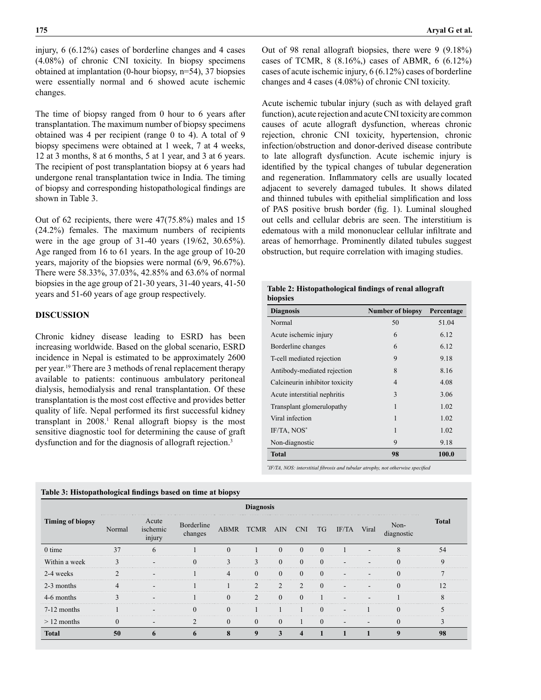injury, 6 (6.12%) cases of borderline changes and 4 cases (4.08%) of chronic CNI toxicity. In biopsy specimens obtained at implantation (0-hour biopsy, n=54), 37 biopsies were essentially normal and 6 showed acute ischemic changes.

The time of biopsy ranged from 0 hour to 6 years after transplantation. The maximum number of biopsy specimens obtained was 4 per recipient (range 0 to 4). A total of 9 biopsy specimens were obtained at 1 week, 7 at 4 weeks, 12 at 3 months, 8 at 6 months, 5 at 1 year, and 3 at 6 years. The recipient of post transplantation biopsy at 6 years had undergone renal transplantation twice in India. The timing of biopsy and corresponding histopathological findings are shown in Table 3.

Out of 62 recipients, there were 47(75.8%) males and 15 (24.2%) females. The maximum numbers of recipients were in the age group of 31-40 years (19/62, 30.65%). Age ranged from 16 to 61 years. In the age group of 10-20 years, majority of the biopsies were normal (6/9, 96.67%). There were 58.33%, 37.03%, 42.85% and 63.6% of normal biopsies in the age group of 21-30 years, 31-40 years, 41-50 years and 51-60 years of age group respectively.

### **DISCUSSION**

Chronic kidney disease leading to ESRD has been increasing worldwide. Based on the global scenario, ESRD incidence in Nepal is estimated to be approximately 2600 per year.19 There are 3 methods of renal replacement therapy available to patients: continuous ambulatory peritoneal dialysis, hemodialysis and renal transplantation. Of these transplantation is the most cost effective and provides better quality of life. Nepal performed its first successful kidney transplant in 2008.<sup>1</sup> Renal allograft biopsy is the most sensitive diagnostic tool for determining the cause of graft dysfunction and for the diagnosis of allograft rejection.<sup>3</sup>

Out of 98 renal allograft biopsies, there were 9 (9.18%) cases of TCMR, 8 (8.16%,) cases of ABMR, 6 (6.12%) cases of acute ischemic injury, 6 (6.12%) cases of borderline changes and 4 cases (4.08%) of chronic CNI toxicity.

Acute ischemic tubular injury (such as with delayed graft function), acute rejection and acute CNI toxicity are common causes of acute allograft dysfunction, whereas chronic rejection, chronic CNI toxicity, hypertension, chronic infection/obstruction and donor-derived disease contribute to late allograft dysfunction. Acute ischemic injury is identified by the typical changes of tubular degeneration and regeneration. Inflammatory cells are usually located adjacent to severely damaged tubules. It shows dilated and thinned tubules with epithelial simplification and loss of PAS positive brush border (fig. 1). Luminal sloughed out cells and cellular debris are seen. The interstitium is edematous with a mild mononuclear cellular infiltrate and areas of hemorrhage. Prominently dilated tubules suggest obstruction, but require correlation with imaging studies.

| <b>Diagnosis</b>               | <b>Number of biopsy</b> | Percentage |  |  |
|--------------------------------|-------------------------|------------|--|--|
| Normal                         | 50                      | 51.04      |  |  |
| Acute ischemic injury          | 6                       | 6.12       |  |  |
| Borderline changes             | 6                       | 6.12       |  |  |
| T-cell mediated rejection      | 9                       | 9.18       |  |  |
| Antibody-mediated rejection    | 8                       | 8.16       |  |  |
| Calcineurin inhibitor toxicity | $\overline{4}$          | 4.08       |  |  |
| Acute interstitial nephritis   | 3                       | 3.06       |  |  |
| Transplant glomerulopathy      | 1                       | 1.02       |  |  |
| Viral infection                | 1                       | 1.02       |  |  |
| $IF/TA$ , $NOS^*$              | 1                       | 1.02       |  |  |
| Non-diagnostic                 | 9                       | 9.18       |  |  |
| <b>Total</b>                   | 98                      | 100.0      |  |  |

*\* IF/TA, NOS: interstitial fibrosis and tubular atrophy, not otherwise specified*

| Table 3: Histopathological findings based on time at biopsy<br><b>Diagnosis</b> |          |                             |                       |             |                |                |            |           |       |       |                    |              |
|---------------------------------------------------------------------------------|----------|-----------------------------|-----------------------|-------------|----------------|----------------|------------|-----------|-------|-------|--------------------|--------------|
| <b>Timing of biopsy</b>                                                         | Normal   | Acute<br>ischemic<br>injury | Borderline<br>changes | <b>ABMR</b> | <b>TCMR</b>    | AIN.           | <b>CNI</b> | <b>TG</b> | IF/TA | Viral | Non-<br>diagnostic | <b>Total</b> |
| $0$ time                                                                        | 37       | 6                           |                       | $\Omega$    |                | $\theta$       | $\Omega$   | $\Omega$  |       |       | $\mathbf{8}$       | 54           |
| Within a week                                                                   | 3        |                             | $\theta$              | 3           | 3              | $\theta$       | $\Omega$   | $\Omega$  |       |       | $\Omega$           | 9            |
| 2-4 weeks                                                                       |          |                             |                       | 4           | $\Omega$       | $\Omega$       | $\Omega$   | $\Omega$  |       |       | $\Omega$           | ∍            |
| 2-3 months                                                                      | 4        |                             |                       |             | $\overline{2}$ | $\overline{2}$ |            | $\Omega$  |       |       |                    | 12           |
| 4-6 months                                                                      |          |                             |                       | $\theta$    | $\mathfrak{D}$ | $\Omega$       | $\Omega$   |           |       |       |                    | 8            |
| $7-12$ months                                                                   |          |                             | $\theta$              | $\theta$    |                |                |            | $\Omega$  |       |       |                    | 5            |
| $>12$ months                                                                    | $\Omega$ |                             | $\overline{2}$        | $\Omega$    | $\Omega$       | $\Omega$       |            | $\Omega$  | -     |       |                    | 3            |
| <b>Total</b>                                                                    | 50       | 6                           | $\mathbf b$           | 8           | 9              | 3              | 4          |           |       |       | 9                  | 98           |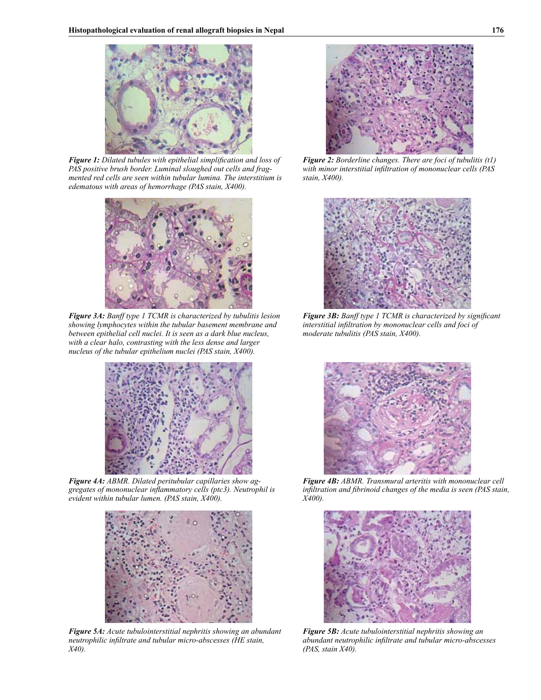

*Figure 1: Dilated tubules with epithelial simplification and loss of PAS positive brush border. Luminal sloughed out cells and fragmented red cells are seen within tubular lumina. The interstitium is edematous with areas of hemorrhage (PAS stain, X400).*



*Figure 3A: Banff type 1 TCMR is characterized by tubulitis lesion showing lymphocytes within the tubular basement membrane and between epithelial cell nuclei. It is seen as a dark blue nucleus, with a clear halo, contrasting with the less dense and larger nucleus of the tubular epithelium nuclei (PAS stain, X400).* 



*Figure 4A: ABMR. Dilated peritubular capillaries show aggregates of mononuclear inflammatory cells (ptc3). Neutrophil is evident within tubular lumen. (PAS stain, X400).* 



*Figure 5A: Acute tubulointerstitial nephritis showing an abundant neutrophilic infiltrate and tubular micro-abscesses (HE stain, X40).*



*Figure 2: Borderline changes. There are foci of tubulitis (t1) with minor interstitial infiltration of mononuclear cells (PAS stain, X400).*



*Figure 3B: Banff type 1 TCMR is characterized by significant interstitial infiltration by mononuclear cells and foci of moderate tubulitis (PAS stain, X400).* 



*Figure 4B: ABMR. Transmural arteritis with mononuclear cell infiltration and fibrinoid changes of the media is seen (PAS stain, X400).*



*Figure 5B: Acute tubulointerstitial nephritis showing an abundant neutrophilic infiltrate and tubular micro-abscesses (PAS, stain X40).*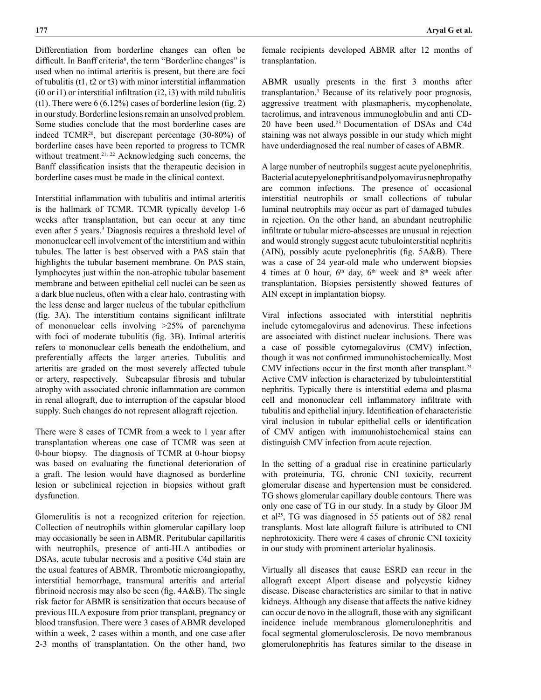Differentiation from borderline changes can often be difficult. In Banff criteria<sup>6</sup>, the term "Borderline changes" is used when no intimal arteritis is present, but there are foci of tubulitis (t1, t2 or t3) with minor interstitial inflammation (i0 or i1) or interstitial infiltration  $(2, 13)$  with mild tubulitis (t1). There were  $6(6.12\%)$  cases of borderline lesion (fig. 2) in our study. Borderline lesions remain an unsolved problem. Some studies conclude that the most borderline cases are indeed TCMR<sup>20</sup>, but discrepant percentage (30-80%) of borderline cases have been reported to progress to TCMR without treatment.<sup>21, 22</sup> Acknowledging such concerns, the Banff classification insists that the therapeutic decision in borderline cases must be made in the clinical context.

Interstitial inflammation with tubulitis and intimal arteritis is the hallmark of TCMR. TCMR typically develop 1-6 weeks after transplantation, but can occur at any time even after 5 years.<sup>3</sup> Diagnosis requires a threshold level of mononuclear cell involvement of the interstitium and within tubules. The latter is best observed with a PAS stain that highlights the tubular basement membrane. On PAS stain, lymphocytes just within the non-atrophic tubular basement membrane and between epithelial cell nuclei can be seen as a dark blue nucleus, often with a clear halo, contrasting with the less dense and larger nucleus of the tubular epithelium (fig. 3A). The interstitium contains significant infiltrate of mononuclear cells involving >25% of parenchyma with foci of moderate tubulitis (fig. 3B). Intimal arteritis refers to mononuclear cells beneath the endothelium, and preferentially affects the larger arteries. Tubulitis and arteritis are graded on the most severely affected tubule or artery, respectively. Subcapsular fibrosis and tubular atrophy with associated chronic inflammation are common in renal allograft, due to interruption of the capsular blood supply. Such changes do not represent allograft rejection.

There were 8 cases of TCMR from a week to 1 year after transplantation whereas one case of TCMR was seen at 0-hour biopsy. The diagnosis of TCMR at 0-hour biopsy was based on evaluating the functional deterioration of a graft. The lesion would have diagnosed as borderline lesion or subclinical rejection in biopsies without graft dysfunction.

Glomerulitis is not a recognized criterion for rejection. Collection of neutrophils within glomerular capillary loop may occasionally be seen in ABMR. Peritubular capillaritis with neutrophils, presence of anti-HLA antibodies or DSAs, acute tubular necrosis and a positive C4d stain are the usual features of ABMR. Thrombotic microangiopathy, interstitial hemorrhage, transmural arteritis and arterial fibrinoid necrosis may also be seen (fig. 4A&B). The single risk factor for ABMR is sensitization that occurs because of previous HLA exposure from prior transplant, pregnancy or blood transfusion. There were 3 cases of ABMR developed within a week, 2 cases within a month, and one case after 2-3 months of transplantation. On the other hand, two

female recipients developed ABMR after 12 months of transplantation.

ABMR usually presents in the first 3 months after transplantation.3 Because of its relatively poor prognosis, aggressive treatment with plasmapheris, mycophenolate, tacrolimus, and intravenous immunoglobulin and anti CD-20 have been used.23 Documentation of DSAs and C4d staining was not always possible in our study which might have underdiagnosed the real number of cases of ABMR.

A large number of neutrophils suggest acute pyelonephritis. Bacterial acute pyelonephritis and polyomavirus nephropathy are common infections. The presence of occasional interstitial neutrophils or small collections of tubular luminal neutrophils may occur as part of damaged tubules in rejection. On the other hand, an abundant neutrophilic infiltrate or tubular micro-abscesses are unusual in rejection and would strongly suggest acute tubulointerstitial nephritis (AIN), possibly acute pyelonephritis (fig. 5A&B). There was a case of 24 year-old male who underwent biopsies 4 times at 0 hour,  $6<sup>th</sup>$  day,  $6<sup>th</sup>$  week and  $8<sup>th</sup>$  week after transplantation. Biopsies persistently showed features of AIN except in implantation biopsy.

Viral infections associated with interstitial nephritis include cytomegalovirus and adenovirus. These infections are associated with distinct nuclear inclusions. There was a case of possible cytomegalovirus (CMV) infection, though it was not confirmed immunohistochemically. Most CMV infections occur in the first month after transplant.<sup>24</sup> Active CMV infection is characterized by tubulointerstitial nephritis. Typically there is interstitial edema and plasma cell and mononuclear cell inflammatory infiltrate with tubulitis and epithelial injury. Identification of characteristic viral inclusion in tubular epithelial cells or identification of CMV antigen with immunohistochemical stains can distinguish CMV infection from acute rejection.

In the setting of a gradual rise in creatinine particularly with proteinuria, TG, chronic CNI toxicity, recurrent glomerular disease and hypertension must be considered. TG shows glomerular capillary double contours. There was only one case of TG in our study. In a study by Gloor JM et al<sup>25</sup>, TG was diagnosed in 55 patients out of 582 renal transplants. Most late allograft failure is attributed to CNI nephrotoxicity. There were 4 cases of chronic CNI toxicity in our study with prominent arteriolar hyalinosis.

Virtually all diseases that cause ESRD can recur in the allograft except Alport disease and polycystic kidney disease. Disease characteristics are similar to that in native kidneys. Although any disease that affects the native kidney can occur de novo in the allograft, those with any significant incidence include membranous glomerulonephritis and focal segmental glomerulosclerosis. De novo membranous glomerulonephritis has features similar to the disease in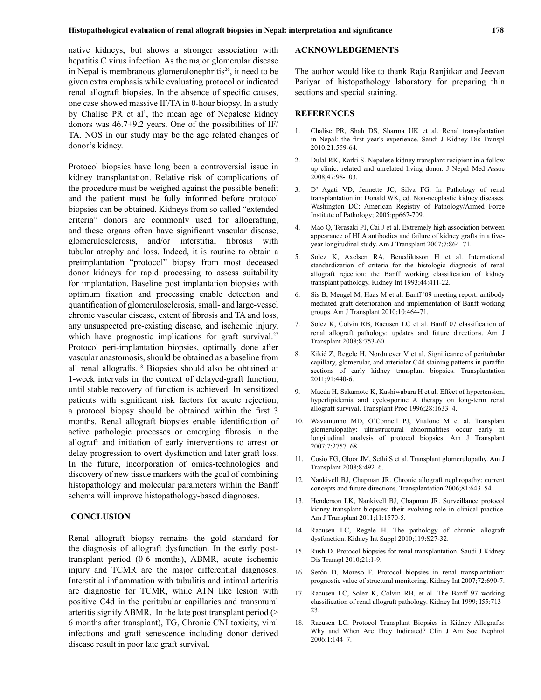native kidneys, but shows a stronger association with hepatitis C virus infection. As the major glomerular disease in Nepal is membranous glomerulonephritis<sup>26</sup>, it need to be given extra emphasis while evaluating protocol or indicated renal allograft biopsies. In the absence of specific causes, one case showed massive IF/TA in 0-hour biopsy. In a study by Chalise PR et al<sup>1</sup>, the mean age of Nepalese kidney donors was  $46.7\pm9.2$  years. One of the possibilities of IF/ TA. NOS in our study may be the age related changes of donor's kidney.

Protocol biopsies have long been a controversial issue in kidney transplantation. Relative risk of complications of the procedure must be weighed against the possible benefit and the patient must be fully informed before protocol biopsies can be obtained. Kidneys from so called "extended criteria" donors are commonly used for allografting, and these organs often have significant vascular disease, glomerulosclerosis, and/or interstitial fibrosis with tubular atrophy and loss. Indeed, it is routine to obtain a preimplantation "protocol" biopsy from most deceased donor kidneys for rapid processing to assess suitability for implantation. Baseline post implantation biopsies with optimum fixation and processing enable detection and quantification of glomerulosclerosis, small- and large-vessel chronic vascular disease, extent of fibrosis and TA and loss, any unsuspected pre-existing disease, and ischemic injury, which have prognostic implications for graft survival.<sup>27</sup> Protocol peri-implantation biopsies, optimally done after vascular anastomosis, should be obtained as a baseline from all renal allografts.18 Biopsies should also be obtained at 1-week intervals in the context of delayed-graft function, until stable recovery of function is achieved. In sensitized patients with significant risk factors for acute rejection, a protocol biopsy should be obtained within the first 3 months. Renal allograft biopsies enable identification of active pathologic processes or emerging fibrosis in the allograft and initiation of early interventions to arrest or delay progression to overt dysfunction and later graft loss. In the future, incorporation of omics-technologies and discovery of new tissue markers with the goal of combining histopathology and molecular parameters within the Banff schema will improve histopathology-based diagnoses.

#### **CONCLUSION**

Renal allograft biopsy remains the gold standard for the diagnosis of allograft dysfunction. In the early posttransplant period (0-6 months), ABMR, acute ischemic injury and TCMR are the major differential diagnoses. Interstitial inflammation with tubulitis and intimal arteritis are diagnostic for TCMR, while ATN like lesion with positive C4d in the peritubular capillaries and transmural arteritis signify ABMR. In the late post transplant period (> 6 months after transplant), TG, Chronic CNI toxicity, viral infections and graft senescence including donor derived disease result in poor late graft survival.

#### **ACKNOWLEDGEMENTS**

The author would like to thank Raju Ranjitkar and Jeevan Pariyar of histopathology laboratory for preparing thin sections and special staining.

#### **REFERENCES**

- 1. Chalise PR, Shah DS, Sharma UK et al. Renal transplantation in Nepal: the first year's experience. Saudi J Kidney Dis Transpl 2010;21:559-64.
- 2. Dulal RK, Karki S. Nepalese kidney transplant recipient in a follow up clinic: related and unrelated living donor. J Nepal Med Assoc 2008;47:98-103.
- 3. D' Agati VD, Jennette JC, Silva FG. In Pathology of renal transplantation in: Donald WK, ed. Non-neoplastic kidney diseases. Washington DC: American Registry of Pathology/Armed Force Institute of Pathology; 2005:pp667-709.
- 4. Mao Q, Terasaki PI, Cai J et al. Extremely high association between appearance of HLA antibodies and failure of kidney grafts in a fiveyear longitudinal study. Am J Transplant 2007;7:864–71.
- 5. Solez K, Axelsen RA, Benediktsson H et al. International standardization of criteria for the histologic diagnosis of renal allograft rejection: the Banff working classification of kidney transplant pathology. Kidney Int 1993;44:411-22.
- 6. Sis B, Mengel M, Haas M et al. Banff '09 meeting report: antibody mediated graft deterioration and implementation of Banff working groups. Am J Transplant 2010;10:464-71.
- 7. Solez K, Colvin RB, Racusen LC et al. Banff 07 classification of renal allograft pathology: updates and future directions. Am J Transplant 2008;8:753-60.
- 8. Kikić Z, Regele H, Nordmeyer V et al. Significance of peritubular capillary, glomerular, and arteriolar C4d staining patterns in paraffin sections of early kidney transplant biopsies. Transplantation 2011;91:440-6.
- 9. Maeda H, Sakamoto K, Kashiwabara H et al. Effect of hypertension, hyperlipidemia and cyclosporine A therapy on long-term renal allograft survival. Transplant Proc 1996;28:1633–4.
- 10. Wavamunno MD, O'Connell PJ, Vitalone M et al. Transplant glomerulopathy: ultrastructural abnormalities occur early in longitudinal analysis of protocol biopsies. Am J Transplant 2007;7:2757–68.
- 11. Cosio FG, Gloor JM, Sethi S et al. Transplant glomerulopathy. Am J Transplant 2008;8:492–6.
- 12. Nankivell BJ, Chapman JR. Chronic allograft nephropathy: current concepts and future directions. Transplantation 2006;81:643–54.
- 13. Henderson LK, Nankivell BJ, Chapman JR. Surveillance protocol kidney transplant biopsies: their evolving role in clinical practice. Am J Transplant 2011;11:1570-5.
- 14. Racusen LC, Regele H. The pathology of chronic allograft dysfunction. Kidney Int Suppl 2010;119:S27-32.
- 15. Rush D. Protocol biopsies for renal transplantation. Saudi J Kidney Dis Transpl 2010;21:1-9.
- 16. Serón D, Moreso F. Protocol biopsies in renal transplantation: prognostic value of structural monitoring. Kidney Int 2007;72:690-7.
- 17. Racusen LC, Solez K, Colvin RB, et al. The Banff 97 working classification of renal allograft pathology. Kidney Int 1999; I55:713– 23.
- 18. Racusen LC. Protocol Transplant Biopsies in Kidney Allografts: Why and When Are They Indicated? Clin J Am Soc Nephrol 2006;1:144–7.